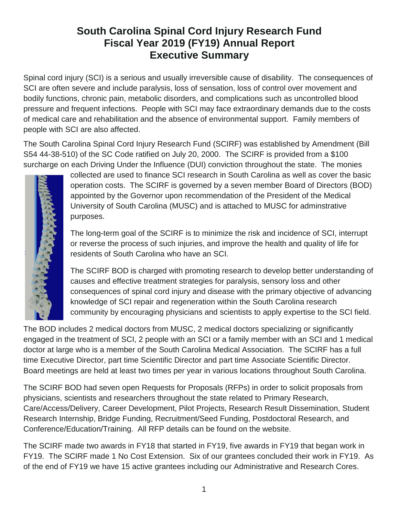# **South Carolina Spinal Cord Injury Research Fund Fiscal Year 2019 (FY19) Annual Report Executive Summary**

Spinal cord injury (SCI) is a serious and usually irreversible cause of disability. The consequences of SCI are often severe and include paralysis, loss of sensation, loss of control over movement and bodily functions, chronic pain, metabolic disorders, and complications such as uncontrolled blood pressure and frequent infections. People with SCI may face extraordinary demands due to the costs of medical care and rehabilitation and the absence of environmental support. Family members of people with SCI are also affected.

The South Carolina Spinal Cord Injury Research Fund (SCIRF) was established by Amendment (Bill S54 44-38-510) of the SC Code ratified on July 20, 2000. The SCIRF is provided from a \$100 surcharge on each Driving Under the Influence (DUI) conviction throughout the state. The monies



collected are used to finance SCI research in South Carolina as well as cover the basic operation costs. The SCIRF is governed by a seven member Board of Directors (BOD) appointed by the Governor upon recommendation of the President of the Medical University of South Carolina (MUSC) and is attached to MUSC for adminstrative purposes.

The long-term goal of the SCIRF is to minimize the risk and incidence of SCI, interrupt or reverse the process of such injuries, and improve the health and quality of life for residents of South Carolina who have an SCI.

The SCIRF BOD is charged with promoting research to develop better understanding of causes and effective treatment strategies for paralysis, sensory loss and other consequences of spinal cord injury and disease with the primary objective of advancing knowledge of SCI repair and regeneration within the South Carolina research community by encouraging physicians and scientists to apply expertise to the SCI field.

The BOD includes 2 medical doctors from MUSC, 2 medical doctors specializing or significantly engaged in the treatment of SCI, 2 people with an SCI or a family member with an SCI and 1 medical doctor at large who is a member of the South Carolina Medical Association. The SCIRF has a full time Executive Director, part time Scientific Director and part time Associate Scientific Director. Board meetings are held at least two times per year in various locations throughout South Carolina.

The SCIRF BOD had seven open Requests for Proposals (RFPs) in order to solicit proposals from physicians, scientists and researchers throughout the state related to Primary Research, Care/Access/Delivery, Career Development, Pilot Projects, Research Result Dissemination, Student Research Internship, Bridge Funding, Recruitment/Seed Funding, Postdoctoral Research, and Conference/Education/Training. All RFP details can be found on the website.

The SCIRF made two awards in FY18 that started in FY19, five awards in FY19 that began work in FY19. The SCIRF made 1 No Cost Extension. Six of our grantees concluded their work in FY19. As of the end of FY19 we have 15 active grantees including our Administrative and Research Cores.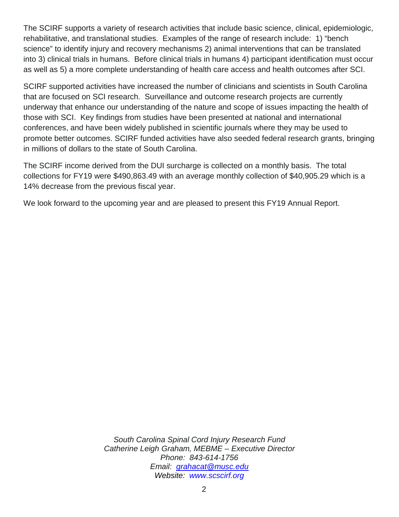The SCIRF supports a variety of research activities that include basic science, clinical, epidemiologic, rehabilitative, and translational studies. Examples of the range of research include: 1) "bench science" to identify injury and recovery mechanisms 2) animal interventions that can be translated into 3) clinical trials in humans. Before clinical trials in humans 4) participant identification must occur as well as 5) a more complete understanding of health care access and health outcomes after SCI.

SCIRF supported activities have increased the number of clinicians and scientists in South Carolina that are focused on SCI research. Surveillance and outcome research projects are currently underway that enhance our understanding of the nature and scope of issues impacting the health of those with SCI. Key findings from studies have been presented at national and international conferences, and have been widely published in scientific journals where they may be used to promote better outcomes. SCIRF funded activities have also seeded federal research grants, bringing in millions of dollars to the state of South Carolina.

The SCIRF income derived from the DUI surcharge is collected on a monthly basis. The total collections for FY19 were \$490,863.49 with an average monthly collection of \$40,905.29 which is a 14% decrease from the previous fiscal year.

We look forward to the upcoming year and are pleased to present this FY19 Annual Report.

*South Carolina Spinal Cord Injury Research Fund Catherine Leigh Graham, MEBME – Executive Director Phone: 843-614-1756 Email: [grahacat@musc.edu](mailto:grahacat@musc.edu) Website: [www.scscirf.org](http://www.scscirf.org/)*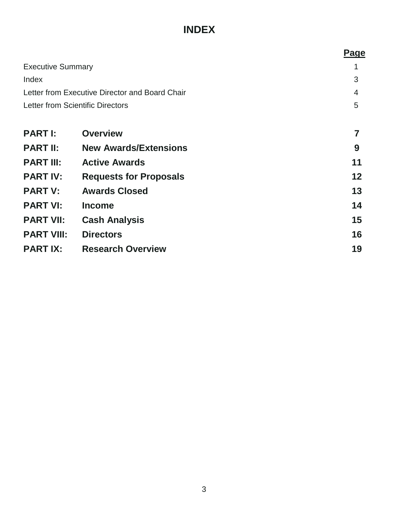# **INDEX**

|                                                | <b>Page</b>                                                                                                                                                                                              |
|------------------------------------------------|----------------------------------------------------------------------------------------------------------------------------------------------------------------------------------------------------------|
|                                                |                                                                                                                                                                                                          |
|                                                | 3                                                                                                                                                                                                        |
| Letter from Executive Director and Board Chair |                                                                                                                                                                                                          |
| Letter from Scientific Directors               |                                                                                                                                                                                                          |
|                                                |                                                                                                                                                                                                          |
|                                                |                                                                                                                                                                                                          |
|                                                | 9                                                                                                                                                                                                        |
|                                                | 11                                                                                                                                                                                                       |
|                                                | 12                                                                                                                                                                                                       |
|                                                | 13                                                                                                                                                                                                       |
|                                                | 14                                                                                                                                                                                                       |
|                                                | 15                                                                                                                                                                                                       |
|                                                | 16                                                                                                                                                                                                       |
|                                                | 19                                                                                                                                                                                                       |
|                                                | <b>Overview</b><br><b>New Awards/Extensions</b><br><b>Active Awards</b><br><b>Requests for Proposals</b><br><b>Awards Closed</b><br><b>Cash Analysis</b><br><b>Directors</b><br><b>Research Overview</b> |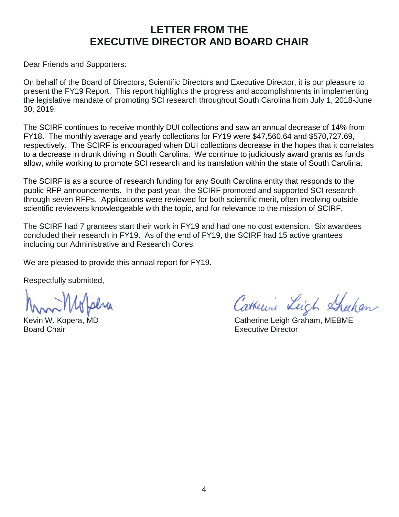# **LETTER FROM THE EXECUTIVE DIRECTOR AND BOARD CHAIR**

Dear Friends and Supporters:

On behalf of the Board of Directors, Scientific Directors and Executive Director, it is our pleasure to present the FY19 Report. This report highlights the progress and accomplishments in implementing the legislative mandate of promoting SCI research throughout South Carolina from July 1, 2018-June 30, 2019.

The SCIRF continues to receive monthly DUI collections and saw an annual decrease of 14% from FY18. The monthly average and yearly collections for FY19 were \$47,560.64 and \$570,727.69, respectively. The SCIRF is encouraged when DUI collections decrease in the hopes that it correlates to a decrease in drunk driving in South Carolina. We continue to judiciously award grants as funds allow, while working to promote SCI research and its translation within the state of South Carolina.

The SCIRF is as a source of research funding for any South Carolina entity that responds to the public RFP announcements. In the past year, the SCIRF promoted and supported SCI research through seven RFPs. Applications were reviewed for both scientific merit, often involving outside scientific reviewers knowledgeable with the topic, and for relevance to the mission of SCIRF.

The SCIRF had 7 grantees start their work in FY19 and had one no cost extension. Six awardees concluded their research in FY19. As of the end of FY19, the SCIRF had 15 active grantees including our Administrative and Research Cores.

We are pleased to provide this annual report for FY19.

Respectfully submitted,

Board Chair **Executive Director Executive Director** 

Catherine Leich Sheehan

Kevin W. Kopera, MD **Catherine Leigh Graham, MEBME**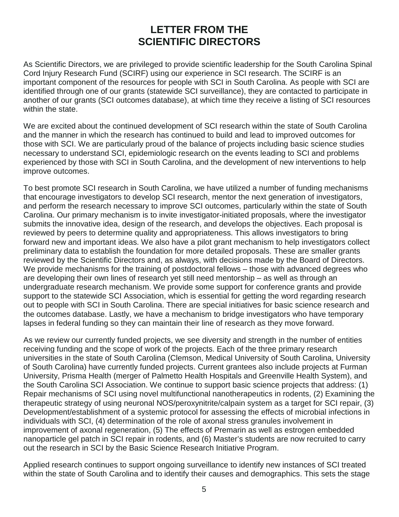# **LETTER FROM THE SCIENTIFIC DIRECTORS**

As Scientific Directors, we are privileged to provide scientific leadership for the South Carolina Spinal Cord Injury Research Fund (SCIRF) using our experience in SCI research. The SCIRF is an important component of the resources for people with SCI in South Carolina. As people with SCI are identified through one of our grants (statewide SCI surveillance), they are contacted to participate in another of our grants (SCI outcomes database), at which time they receive a listing of SCI resources within the state.

We are excited about the continued development of SCI research within the state of South Carolina and the manner in which the research has continued to build and lead to improved outcomes for those with SCI. We are particularly proud of the balance of projects including basic science studies necessary to understand SCI, epidemiologic research on the events leading to SCI and problems experienced by those with SCI in South Carolina, and the development of new interventions to help improve outcomes.

To best promote SCI research in South Carolina, we have utilized a number of funding mechanisms that encourage investigators to develop SCI research, mentor the next generation of investigators, and perform the research necessary to improve SCI outcomes, particularly within the state of South Carolina. Our primary mechanism is to invite investigator-initiated proposals, where the investigator submits the innovative idea, design of the research, and develops the objectives. Each proposal is reviewed by peers to determine quality and appropriateness. This allows investigators to bring forward new and important ideas. We also have a pilot grant mechanism to help investigators collect preliminary data to establish the foundation for more detailed proposals. These are smaller grants reviewed by the Scientific Directors and, as always, with decisions made by the Board of Directors. We provide mechanisms for the training of postdoctoral fellows – those with advanced degrees who are developing their own lines of research yet still need mentorship – as well as through an undergraduate research mechanism. We provide some support for conference grants and provide support to the statewide SCI Association, which is essential for getting the word regarding research out to people with SCI in South Carolina. There are special initiatives for basic science research and the outcomes database. Lastly, we have a mechanism to bridge investigators who have temporary lapses in federal funding so they can maintain their line of research as they move forward.

As we review our currently funded projects, we see diversity and strength in the number of entities receiving funding and the scope of work of the projects. Each of the three primary research universities in the state of South Carolina (Clemson, Medical University of South Carolina, University of South Carolina) have currently funded projects. Current grantees also include projects at Furman University, Prisma Health (merger of Palmetto Health Hospitals and Greenville Health System), and the South Carolina SCI Association. We continue to support basic science projects that address: (1) Repair mechanisms of SCI using novel multifunctional nanotherapeutics in rodents, (2) Examining the therapeutic strategy of using neuronal NOS/peroxynitrite/calpain system as a target for SCI repair, (3) Development/establishment of a systemic protocol for assessing the effects of microbial infections in individuals with SCI, (4) determination of the role of axonal stress granules involvement in improvement of axonal regeneration, (5) The effects of Premarin as well as estrogen embedded nanoparticle gel patch in SCI repair in rodents, and (6) Master's students are now recruited to carry out the research in SCI by the Basic Science Research Initiative Program.

Applied research continues to support ongoing surveillance to identify new instances of SCI treated within the state of South Carolina and to identify their causes and demographics. This sets the stage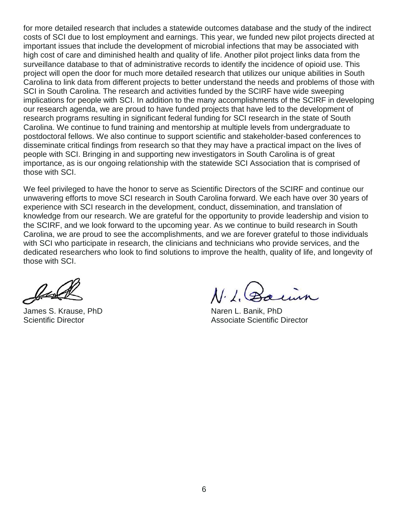for more detailed research that includes a statewide outcomes database and the study of the indirect costs of SCI due to lost employment and earnings. This year, we funded new pilot projects directed at important issues that include the development of microbial infections that may be associated with high cost of care and diminished health and quality of life. Another pilot project links data from the surveillance database to that of administrative records to identify the incidence of opioid use. This project will open the door for much more detailed research that utilizes our unique abilities in South Carolina to link data from different projects to better understand the needs and problems of those with SCI in South Carolina. The research and activities funded by the SCIRF have wide sweeping implications for people with SCI. In addition to the many accomplishments of the SCIRF in developing our research agenda, we are proud to have funded projects that have led to the development of research programs resulting in significant federal funding for SCI research in the state of South Carolina. We continue to fund training and mentorship at multiple levels from undergraduate to postdoctoral fellows. We also continue to support scientific and stakeholder-based conferences to disseminate critical findings from research so that they may have a practical impact on the lives of people with SCI. Bringing in and supporting new investigators in South Carolina is of great importance, as is our ongoing relationship with the statewide SCI Association that is comprised of those with SCI.

We feel privileged to have the honor to serve as Scientific Directors of the SCIRF and continue our unwavering efforts to move SCI research in South Carolina forward. We each have over 30 years of experience with SCI research in the development, conduct, dissemination, and translation of knowledge from our research. We are grateful for the opportunity to provide leadership and vision to the SCIRF, and we look forward to the upcoming year. As we continue to build research in South Carolina, we are proud to see the accomplishments, and we are forever grateful to those individuals with SCI who participate in research, the clinicians and technicians who provide services, and the dedicated researchers who look to find solutions to improve the health, quality of life, and longevity of those with SCI.

Just

James S. Krause, PhD Naren L. Banik, PhD

 $\lambda$ .

Scientific Director Associate Scientific Director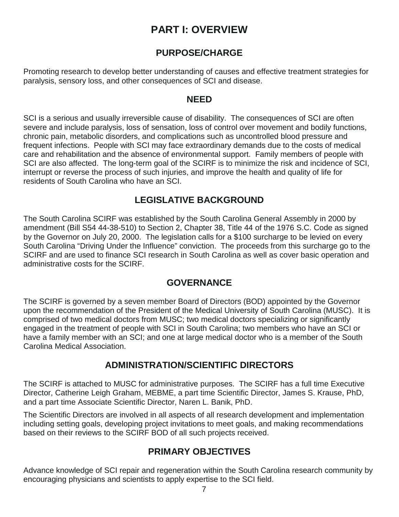# **PART I: OVERVIEW**

## **PURPOSE/CHARGE**

Promoting research to develop better understanding of causes and effective treatment strategies for paralysis, sensory loss, and other consequences of SCI and disease.

## **NEED**

SCI is a serious and usually irreversible cause of disability. The consequences of SCI are often severe and include paralysis, loss of sensation, loss of control over movement and bodily functions, chronic pain, metabolic disorders, and complications such as uncontrolled blood pressure and frequent infections. People with SCI may face extraordinary demands due to the costs of medical care and rehabilitation and the absence of environmental support. Family members of people with SCI are also affected. The long-term goal of the SCIRF is to minimize the risk and incidence of SCI, interrupt or reverse the process of such injuries, and improve the health and quality of life for residents of South Carolina who have an SCI.

## **LEGISLATIVE BACKGROUND**

The South Carolina SCIRF was established by the South Carolina General Assembly in 2000 by amendment (Bill S54 44-38-510) to Section 2, Chapter 38, Title 44 of the 1976 S.C. Code as signed by the Governor on July 20, 2000. The legislation calls for a \$100 surcharge to be levied on every South Carolina "Driving Under the Influence" conviction. The proceeds from this surcharge go to the SCIRF and are used to finance SCI research in South Carolina as well as cover basic operation and administrative costs for the SCIRF.

## **GOVERNANCE**

The SCIRF is governed by a seven member Board of Directors (BOD) appointed by the Governor upon the recommendation of the President of the Medical University of South Carolina (MUSC). It is comprised of two medical doctors from MUSC; two medical doctors specializing or significantly engaged in the treatment of people with SCI in South Carolina; two members who have an SCI or have a family member with an SCI; and one at large medical doctor who is a member of the South Carolina Medical Association.

## **ADMINISTRATION/SCIENTIFIC DIRECTORS**

The SCIRF is attached to MUSC for administrative purposes. The SCIRF has a full time Executive Director, Catherine Leigh Graham, MEBME, a part time Scientific Director, James S. Krause, PhD, and a part time Associate Scientific Director, Naren L. Banik, PhD.

The Scientific Directors are involved in all aspects of all research development and implementation including setting goals, developing project invitations to meet goals, and making recommendations based on their reviews to the SCIRF BOD of all such projects received.

## **PRIMARY OBJECTIVES**

Advance knowledge of SCI repair and regeneration within the South Carolina research community by encouraging physicians and scientists to apply expertise to the SCI field.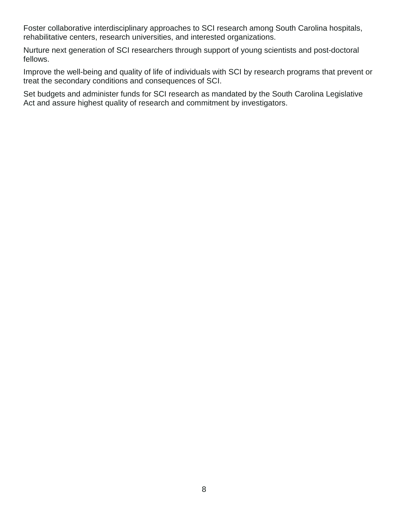Foster collaborative interdisciplinary approaches to SCI research among South Carolina hospitals, rehabilitative centers, research universities, and interested organizations.

Nurture next generation of SCI researchers through support of young scientists and post-doctoral fellows.

Improve the well-being and quality of life of individuals with SCI by research programs that prevent or treat the secondary conditions and consequences of SCI.

Set budgets and administer funds for SCI research as mandated by the South Carolina Legislative Act and assure highest quality of research and commitment by investigators.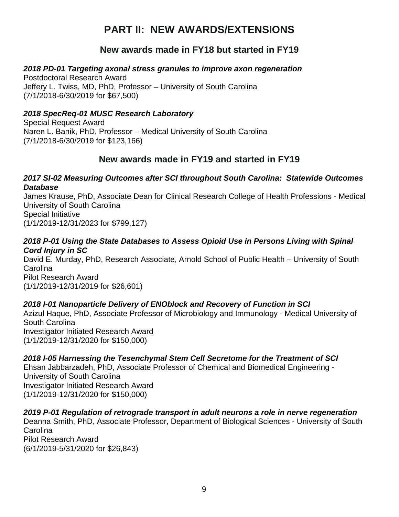# **PART II: NEW AWARDS/EXTENSIONS**

## **New awards made in FY18 but started in FY19**

#### *2018 PD-01 Targeting axonal stress granules to improve axon regeneration*

Postdoctoral Research Award Jeffery L. Twiss, MD, PhD, Professor – University of South Carolina (7/1/2018-6/30/2019 for \$67,500)

#### *2018 SpecReq-01 MUSC Research Laboratory*

Special Request Award Naren L. Banik, PhD, Professor – Medical University of South Carolina (7/1/2018-6/30/2019 for \$123,166)

## **New awards made in FY19 and started in FY19**

#### *2017 SI-02 Measuring Outcomes after SCI throughout South Carolina: Statewide Outcomes Database*

James Krause, PhD, Associate Dean for Clinical Research College of Health Professions - Medical University of South Carolina Special Initiative (1/1/2019-12/31/2023 for \$799,127)

#### *2018 P-01 Using the State Databases to Assess Opioid Use in Persons Living with Spinal Cord Injury in SC*

David E. Murday, PhD, Research Associate, Arnold School of Public Health – University of South Carolina Pilot Research Award (1/1/2019-12/31/2019 for \$26,601)

#### *2018 I-01 Nanoparticle Delivery of ENOblock and Recovery of Function in SCI*

Azizul Haque, PhD, Associate Professor of Microbiology and Immunology - Medical University of South Carolina Investigator Initiated Research Award (1/1/2019-12/31/2020 for \$150,000)

#### *2018 I-05 Harnessing the Tesenchymal Stem Cell Secretome for the Treatment of SCI*

Ehsan Jabbarzadeh, PhD, Associate Professor of Chemical and Biomedical Engineering - University of South Carolina Investigator Initiated Research Award (1/1/2019-12/31/2020 for \$150,000)

#### *2019 P-01 Regulation of retrograde transport in adult neurons a role in nerve regeneration*

Deanna Smith, PhD, Associate Professor, Department of Biological Sciences - University of South **Carolina** 

Pilot Research Award (6/1/2019-5/31/2020 for \$26,843)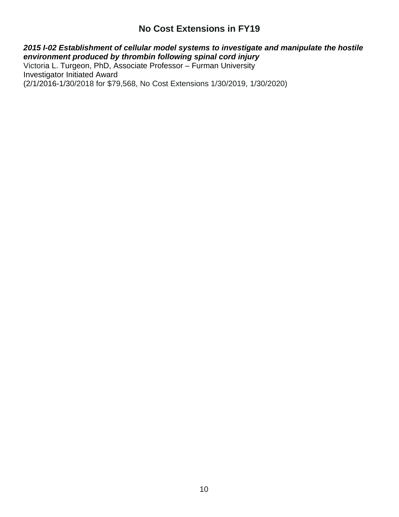## **No Cost Extensions in FY19**

#### *2015 I-02 Establishment of cellular model systems to investigate and manipulate the hostile environment produced by thrombin following spinal cord injury*

Victoria L. Turgeon, PhD, Associate Professor – Furman University Investigator Initiated Award (2/1/2016-1/30/2018 for \$79,568, No Cost Extensions 1/30/2019, 1/30/2020)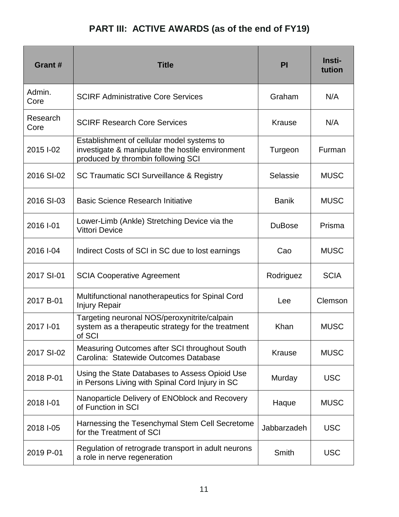# **PART III: ACTIVE AWARDS (as of the end of FY19)**

| Grant #          | <b>Title</b>                                                                                                                         | PI            | Insti-<br>tution |
|------------------|--------------------------------------------------------------------------------------------------------------------------------------|---------------|------------------|
| Admin.<br>Core   | <b>SCIRF Administrative Core Services</b>                                                                                            | Graham        | N/A              |
| Research<br>Core | <b>SCIRF Research Core Services</b>                                                                                                  | <b>Krause</b> | N/A              |
| 2015 I-02        | Establishment of cellular model systems to<br>investigate & manipulate the hostile environment<br>produced by thrombin following SCI | Turgeon       | Furman           |
| 2016 SI-02       | <b>SC Traumatic SCI Surveillance &amp; Registry</b>                                                                                  | Selassie      | <b>MUSC</b>      |
| 2016 SI-03       | <b>Basic Science Research Initiative</b>                                                                                             | <b>Banik</b>  | <b>MUSC</b>      |
| 2016 I-01        | Lower-Limb (Ankle) Stretching Device via the<br><b>Vittori Device</b>                                                                | <b>DuBose</b> | Prisma           |
| 2016 I-04        | Indirect Costs of SCI in SC due to lost earnings                                                                                     | Cao           | <b>MUSC</b>      |
| 2017 SI-01       | <b>SCIA Cooperative Agreement</b>                                                                                                    | Rodriguez     | <b>SCIA</b>      |
| 2017 B-01        | Multifunctional nanotherapeutics for Spinal Cord<br><b>Injury Repair</b>                                                             | Lee           | Clemson          |
| 2017 I-01        | Targeting neuronal NOS/peroxynitrite/calpain<br>system as a therapeutic strategy for the treatment<br>of SCI                         | Khan          | <b>MUSC</b>      |
| 2017 SI-02       | Measuring Outcomes after SCI throughout South<br>Carolina: Statewide Outcomes Database                                               | <b>Krause</b> | <b>MUSC</b>      |
| 2018 P-01        | Using the State Databases to Assess Opioid Use<br>in Persons Living with Spinal Cord Injury in SC                                    | Murday        | <b>USC</b>       |
| 2018 I-01        | Nanoparticle Delivery of ENOblock and Recovery<br>of Function in SCI                                                                 | Haque         | <b>MUSC</b>      |
| 2018 I-05        | Harnessing the Tesenchymal Stem Cell Secretome<br>for the Treatment of SCI                                                           | Jabbarzadeh   | <b>USC</b>       |
| 2019 P-01        | Regulation of retrograde transport in adult neurons<br>a role in nerve regeneration                                                  | Smith         | <b>USC</b>       |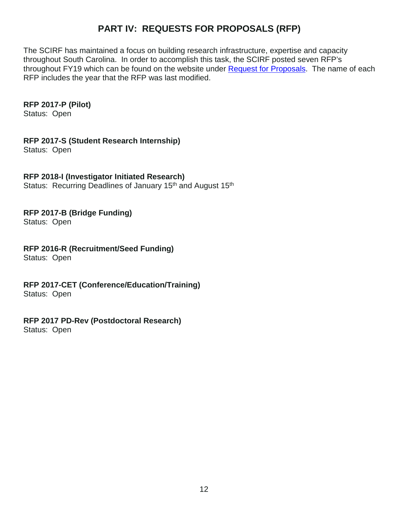## **PART IV: REQUESTS FOR PROPOSALS (RFP)**

The SCIRF has maintained a focus on building research infrastructure, expertise and capacity throughout South Carolina. In order to accomplish this task, the SCIRF posted seven RFP's throughout FY19 which can be found on the website under [Request for Proposals.](http://academicdepartments.musc.edu/scscirf/RFPs.html) The name of each RFP includes the year that the RFP was last modified.

#### **RFP 2017-P (Pilot)**

Status: Open

**RFP 2017-S (Student Research Internship)**

Status: Open

#### **RFP 2018-I (Investigator Initiated Research)**

Status: Recurring Deadlines of January 15<sup>th</sup> and August 15<sup>th</sup>

## **RFP 2017-B (Bridge Funding)**

Status: Open

## **RFP 2016-R (Recruitment/Seed Funding)**

Status: Open

**RFP 2017-CET (Conference/Education/Training)** Status: Open

## **RFP 2017 PD-Rev (Postdoctoral Research)**

Status: Open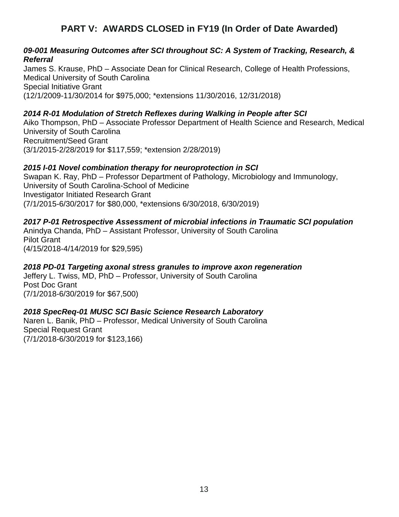## **PART V: AWARDS CLOSED in FY19 (In Order of Date Awarded)**

#### *09-001 Measuring Outcomes after SCI throughout SC: A System of Tracking, Research, & Referral*

James S. Krause, PhD – Associate Dean for Clinical Research, College of Health Professions, Medical University of South Carolina Special Initiative Grant (12/1/2009-11/30/2014 for \$975,000; \*extensions 11/30/2016, 12/31/2018)

#### *2014 R-01 Modulation of Stretch Reflexes during Walking in People after SCI*

Aiko Thompson, PhD – Associate Professor Department of Health Science and Research, Medical University of South Carolina Recruitment/Seed Grant (3/1/2015-2/28/2019 for \$117,559; \*extension 2/28/2019)

#### *2015 I-01 Novel combination therapy for neuroprotection in SCI*

Swapan K. Ray, PhD – Professor Department of Pathology, Microbiology and Immunology, University of South Carolina-School of Medicine Investigator Initiated Research Grant (7/1/2015-6/30/2017 for \$80,000, \*extensions 6/30/2018, 6/30/2019)

#### *2017 P-01 Retrospective Assessment of microbial infections in Traumatic SCI population*

Anindya Chanda, PhD – Assistant Professor, University of South Carolina Pilot Grant (4/15/2018-4/14/2019 for \$29,595)

#### *2018 PD-01 Targeting axonal stress granules to improve axon regeneration*

Jeffery L. Twiss, MD, PhD – Professor, University of South Carolina Post Doc Grant (7/1/2018-6/30/2019 for \$67,500)

#### *2018 SpecReq-01 MUSC SCI Basic Science Research Laboratory*

Naren L. Banik, PhD – Professor, Medical University of South Carolina Special Request Grant (7/1/2018-6/30/2019 for \$123,166)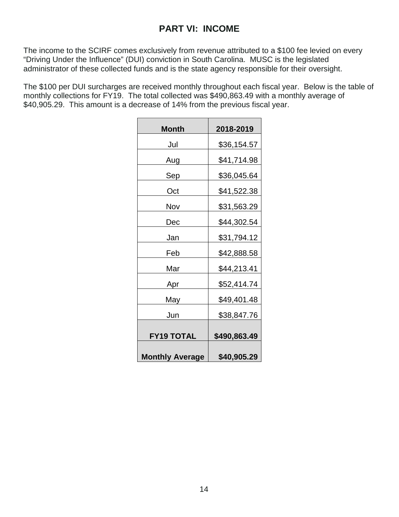## **PART VI: INCOME**

The income to the SCIRF comes exclusively from revenue attributed to a \$100 fee levied on every "Driving Under the Influence" (DUI) conviction in South Carolina. MUSC is the legislated administrator of these collected funds and is the state agency responsible for their oversight.

The \$100 per DUI surcharges are received monthly throughout each fiscal year. Below is the table of monthly collections for FY19. The total collected was \$490,863.49 with a monthly average of \$40,905.29. This amount is a decrease of 14% from the previous fiscal year.

| Month                  | 2018-2019    |
|------------------------|--------------|
| Jul                    | \$36,154.57  |
| Aug                    | \$41,714.98  |
| Sep                    | \$36,045.64  |
| Oct                    | \$41,522.38  |
| Nov                    | \$31,563.29  |
| Dec                    | \$44,302.54  |
| Jan                    | \$31,794.12  |
| Feb                    | \$42,888.58  |
| Mar                    | \$44,213.41  |
| Apr                    | \$52,414.74  |
| May                    | \$49,401.48  |
| Jun                    | \$38,847.76  |
| <b>FY19 TOTAL</b>      | \$490,863.49 |
| <b>Monthly Average</b> | \$40,905.29  |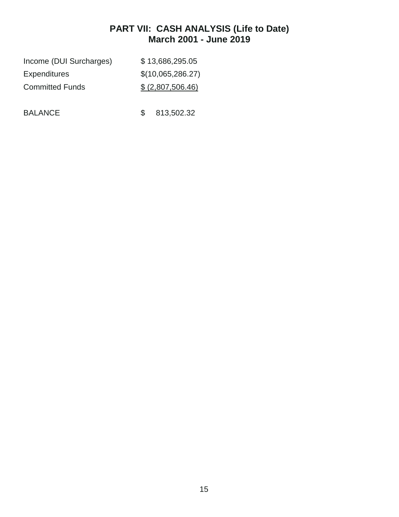## **PART VII: CASH ANALYSIS (Life to Date) March 2001 - June 2019**

| \$13,686,295.05   |
|-------------------|
| \$(10,065,286.27) |
| \$(2,807,506.46)  |
|                   |

BALANCE \$ 813,502.32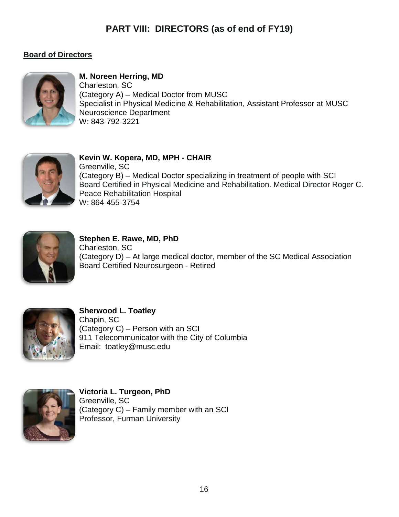## **PART VIII: DIRECTORS (as of end of FY19)**

## **Board of Directors**



**M. Noreen Herring, MD** Charleston, SC (Category A) – Medical Doctor from MUSC Specialist in Physical Medicine & Rehabilitation, Assistant Professor at MUSC Neuroscience Department W: 843-792-3221



**Kevin W. Kopera, MD, MPH - CHAIR** Greenville, SC (Category B) – Medical Doctor specializing in treatment of people with SCI Board Certified in Physical Medicine and Rehabilitation. Medical Director Roger C. Peace Rehabilitation Hospital W: 864-455-3754



**Stephen E. Rawe, MD, PhD** Charleston, SC (Category D) – At large medical doctor, member of the SC Medical Association Board Certified Neurosurgeon - Retired



**Sherwood L. Toatley** Chapin, SC (Category C) – Person with an SCI 911 Telecommunicator with the City of Columbia Email: toatley@musc.edu



**Victoria L. Turgeon, PhD** Greenville, SC (Category C) – Family member with an SCI Professor, Furman University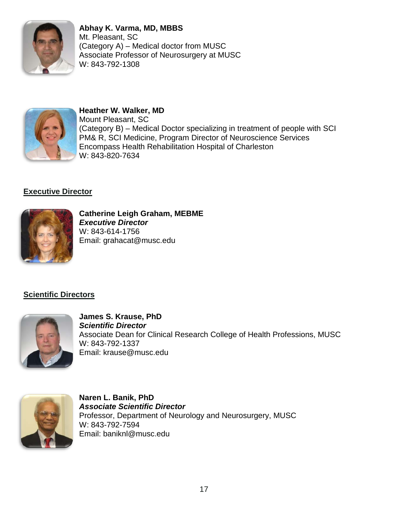

**Abhay K. Varma, MD, MBBS** Mt. Pleasant, SC (Category A) – Medical doctor from MUSC Associate Professor of Neurosurgery at MUSC W: 843-792-1308



#### **Heather W. Walker, MD** Mount Pleasant, SC (Category B) – Medical Doctor specializing in treatment of people with SCI PM& R, SCI Medicine, Program Director of Neuroscience Services Encompass Health Rehabilitation Hospital of Charleston W: 843-820-7634

## **Executive Director**



**Catherine Leigh Graham, MEBME** *Executive Director* W: 843-614-1756 Email: grahacat@musc.edu

## **Scientific Directors**



**James S. Krause, PhD** *Scientific Director* Associate Dean for Clinical Research College of Health Professions, MUSC W: 843-792-1337 Email: krause@musc.edu



**Naren L. Banik, PhD** *Associate Scientific Director* Professor, Department of Neurology and Neurosurgery, MUSC W: 843-792-7594 Email: baniknl@musc.edu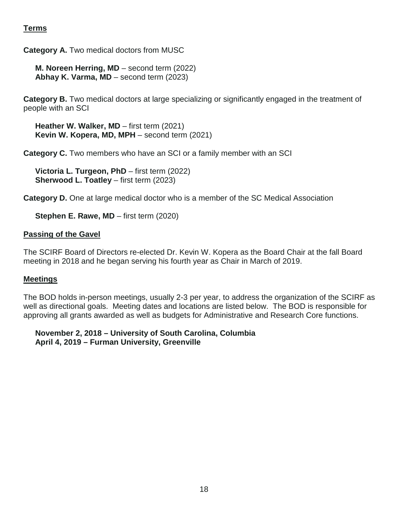### **Terms**

**Category A.** Two medical doctors from MUSC

**M. Noreen Herring, MD** – second term (2022) **Abhay K. Varma, MD** – second term (2023)

**Category B.** Two medical doctors at large specializing or significantly engaged in the treatment of people with an SCI

**Heather W. Walker, MD** – first term (2021) **Kevin W. Kopera, MD, MPH** – second term (2021)

**Category C.** Two members who have an SCI or a family member with an SCI

**Victoria L. Turgeon, PhD** – first term (2022) **Sherwood L. Toatley** – first term (2023)

**Category D.** One at large medical doctor who is a member of the SC Medical Association

**Stephen E. Rawe, MD** – first term (2020)

#### **Passing of the Gavel**

The SCIRF Board of Directors re-elected Dr. Kevin W. Kopera as the Board Chair at the fall Board meeting in 2018 and he began serving his fourth year as Chair in March of 2019.

#### **Meetings**

The BOD holds in-person meetings, usually 2-3 per year, to address the organization of the SCIRF as well as directional goals. Meeting dates and locations are listed below. The BOD is responsible for approving all grants awarded as well as budgets for Administrative and Research Core functions.

#### **November 2, 2018 – University of South Carolina, Columbia April 4, 2019 – Furman University, Greenville**